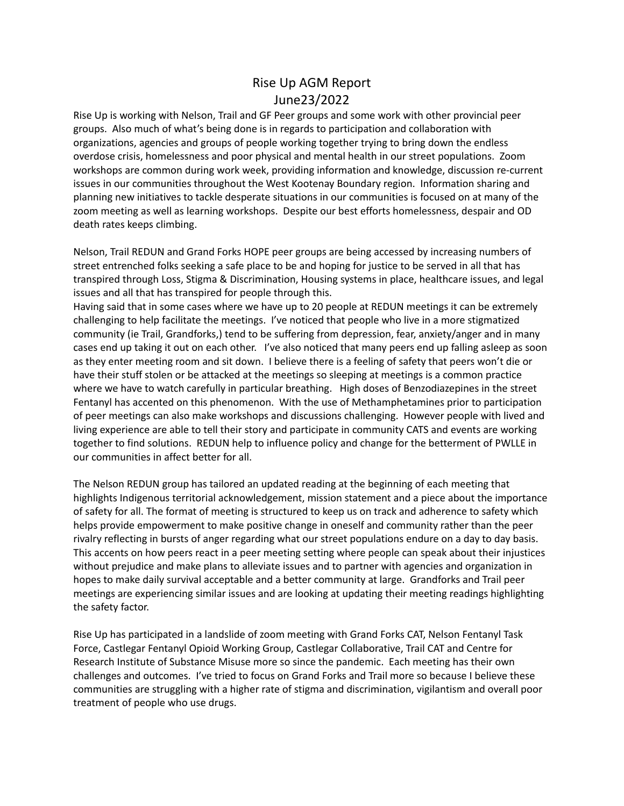## Rise Up AGM Report June23/2022

Rise Up is working with Nelson, Trail and GF Peer groups and some work with other provincial peer groups. Also much of what's being done is in regards to participation and collaboration with organizations, agencies and groups of people working together trying to bring down the endless overdose crisis, homelessness and poor physical and mental health in our street populations. Zoom workshops are common during work week, providing information and knowledge, discussion re-current issues in our communities throughout the West Kootenay Boundary region. Information sharing and planning new initiatives to tackle desperate situations in our communities is focused on at many of the zoom meeting as well as learning workshops. Despite our best efforts homelessness, despair and OD death rates keeps climbing.

Nelson, Trail REDUN and Grand Forks HOPE peer groups are being accessed by increasing numbers of street entrenched folks seeking a safe place to be and hoping for justice to be served in all that has transpired through Loss, Stigma & Discrimination, Housing systems in place, healthcare issues, and legal issues and all that has transpired for people through this.

Having said that in some cases where we have up to 20 people at REDUN meetings it can be extremely challenging to help facilitate the meetings. I've noticed that people who live in a more stigmatized community (ie Trail, Grandforks,) tend to be suffering from depression, fear, anxiety/anger and in many cases end up taking it out on each other. I've also noticed that many peers end up falling asleep as soon as they enter meeting room and sit down. I believe there is a feeling of safety that peers won't die or have their stuff stolen or be attacked at the meetings so sleeping at meetings is a common practice where we have to watch carefully in particular breathing. High doses of Benzodiazepines in the street Fentanyl has accented on this phenomenon. With the use of Methamphetamines prior to participation of peer meetings can also make workshops and discussions challenging. However people with lived and living experience are able to tell their story and participate in community CATS and events are working together to find solutions. REDUN help to influence policy and change for the betterment of PWLLE in our communities in affect better for all.

The Nelson REDUN group has tailored an updated reading at the beginning of each meeting that highlights Indigenous territorial acknowledgement, mission statement and a piece about the importance of safety for all. The format of meeting is structured to keep us on track and adherence to safety which helps provide empowerment to make positive change in oneself and community rather than the peer rivalry reflecting in bursts of anger regarding what our street populations endure on a day to day basis. This accents on how peers react in a peer meeting setting where people can speak about their injustices without prejudice and make plans to alleviate issues and to partner with agencies and organization in hopes to make daily survival acceptable and a better community at large. Grandforks and Trail peer meetings are experiencing similar issues and are looking at updating their meeting readings highlighting the safety factor.

Rise Up has participated in a landslide of zoom meeting with Grand Forks CAT, Nelson Fentanyl Task Force, Castlegar Fentanyl Opioid Working Group, Castlegar Collaborative, Trail CAT and Centre for Research Institute of Substance Misuse more so since the pandemic. Each meeting has their own challenges and outcomes. I've tried to focus on Grand Forks and Trail more so because I believe these communities are struggling with a higher rate of stigma and discrimination, vigilantism and overall poor treatment of people who use drugs.